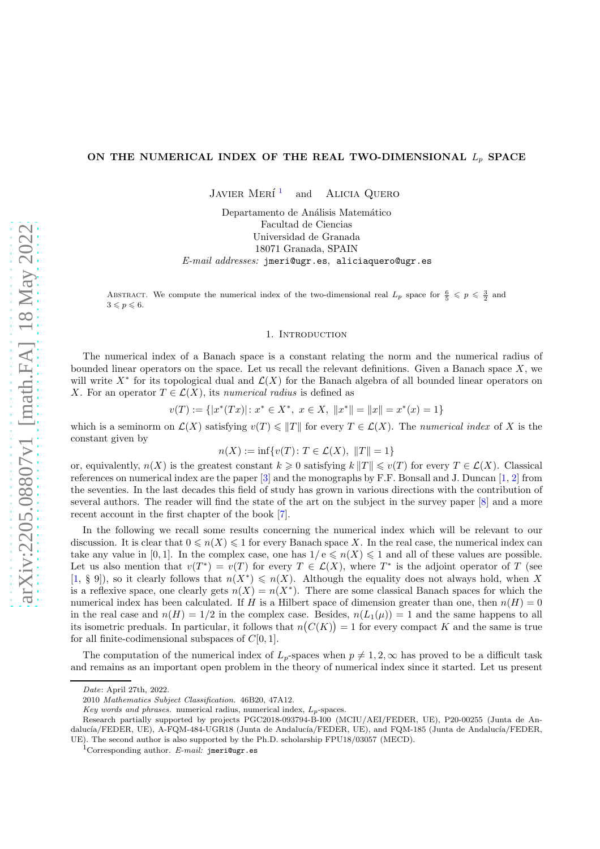#### ON THE NUMERICAL INDEX OF THE REAL TWO-DIMENSIONAL  $L_p$  SPACE

JAVIER MERÍ<sup>[1](#page-0-0)</sup> and Alicia Quero

Departamento de Análisis Matemático Facultad de Ciencias Universidad de Granada 18071 Granada, SPAIN *E-mail addresses:* jmeri@ugr.es, aliciaquero@ugr.es

ABSTRACT. We compute the numerical index of the two-dimensional real  $L_p$  space for  $\frac{6}{5} \leqslant p \leqslant \frac{3}{2}$  and  $3 \leqslant p \leqslant 6$ .

#### 1. INTRODUCTION

The numerical index of a Banach space is a constant relating the norm and the numerical radius of bounded linear operators on the space. Let us recall the relevant definitions. Given a Banach space  $X$ , we will write  $X^*$  for its topological dual and  $\mathcal{L}(X)$  for the Banach algebra of all bounded linear operators on X. For an operator  $T \in \mathcal{L}(X)$ , its *numerical radius* is defined as

$$
v(T) := \{ |x^*(Tx)| : x^* \in X^*, \ x \in X, \ \|x^*\| = \|x\| = x^*(x) = 1 \}
$$

which is a seminorm on  $\mathcal{L}(X)$  satisfying  $v(T) \leq ||T||$  for every  $T \in \mathcal{L}(X)$ . The *numerical index* of X is the constant given by

$$
n(X) := \inf \{ v(T) : T \in \mathcal{L}(X), \|T\| = 1 \}
$$

or, equivalently,  $n(X)$  is the greatest constant  $k \geq 0$  satisfying  $k ||T|| \leq v(T)$  for every  $T \in \mathcal{L}(X)$ . Classical references on numerical index are the paper [\[3\]](#page-11-0) and the monographs by F.F. Bonsall and J. Duncan [\[1,](#page-11-1) [2\]](#page-11-2) from the seventies. In the last decades this field of study has grown in various directions with the contribution of several authors. The reader will find the state of the art on the subject in the survey paper [\[8\]](#page-11-3) and a more recent account in the first chapter of the book [\[7\]](#page-11-4).

In the following we recall some results concerning the numerical index which will be relevant to our discussion. It is clear that  $0 \leq n(X) \leq 1$  for every Banach space X. In the real case, the numerical index can take any value in [0, 1]. In the complex case, one has  $1/e \leq n(X) \leq 1$  and all of these values are possible. Let us also mention that  $v(T^*) = v(T)$  for every  $T \in \mathcal{L}(X)$ , where  $T^*$  is the adjoint operator of T (see [\[1,](#page-11-1) § 9]), so it clearly follows that  $n(X^*) \leq n(X)$ . Although the equality does not always hold, when X is a reflexive space, one clearly gets  $n(X) = n(X^*)$ . There are some classical Banach spaces for which the numerical index has been calculated. If H is a Hilbert space of dimension greater than one, then  $n(H) = 0$ in the real case and  $n(H) = 1/2$  in the complex case. Besides,  $n(L_1(\mu)) = 1$  and the same happens to all its isometric preduals. In particular, it follows that  $n(C(K)) = 1$  for every compact K and the same is true for all finite-codimensional subspaces of  $C[0, 1]$ .

The computation of the numerical index of  $L_p$ -spaces when  $p \neq 1, 2, \infty$  has proved to be a difficult task and remains as an important open problem in the theory of numerical index since it started. Let us present

*Date*: April 27th, 2022.

<sup>2010</sup> *Mathematics Subject Classification.* 46B20, 47A12.

*Key words and phrases.* numerical radius, numerical index,  $L_p$ -spaces.

Research partially supported by projects PGC2018-093794-B-I00 (MCIU/AEI/FEDER, UE), P20-00255 (Junta de Andalucía/FEDER, UE), A-FQM-484-UGR18 (Junta de Andalucía/FEDER, UE), and FQM-185 (Junta de Andalucía/FEDER, UE). The second author is also supported by the Ph.D. scholarship FPU18/03057 (MECD).

<span id="page-0-0"></span><sup>1</sup>Corresponding author. *E-mail:* jmeri@ugr.es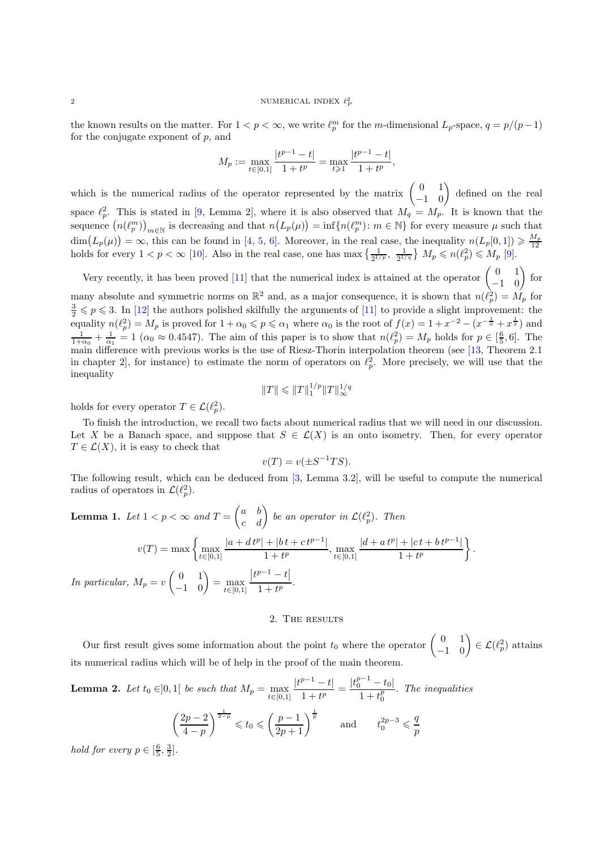## 2 NUMERICAL INDEX  $\ell_P^2$

the known results on the matter. For  $1 < p < \infty$ , we write  $\ell_p^m$  for the m-dimensional  $L_p$ -space,  $q = p/(p-1)$ for the conjugate exponent of  $p$ , and

$$
M_p:=\max_{t\in[0,1]}\frac{|t^{p-1}-t|}{1+t^p}=\max_{t\geqslant 1}\frac{|t^{p-1}-t|}{1+t^p},
$$

which is the numerical radius of the operator represented by the matrix  $\begin{pmatrix} 0 & 1 \\ -1 & 0 \end{pmatrix}$  defined on the real space  $\ell_p^2$ . This is stated in [\[9,](#page-11-5) Lemma 2], where it is also observed that  $M_q = M_p$ . It is known that the sequence  $(n(\ell_p^m))_{m\in\mathbb{N}}$  is decreasing and that  $n(L_p(\mu)) = \inf\{n(\ell_p^m): m \in \mathbb{N}\}\)$  for every measure  $\mu$  such that  $\dim(L_p(\mu)) = \infty$ , this can be found in [\[4,](#page-11-6) [5,](#page-11-7) [6\]](#page-11-8). Moreover, in the real case, the inequality  $n(L_p(0, 1]) \geq \frac{M_p}{12}$ holds for every  $1 < p < \infty$  [\[10\]](#page-11-9). Also in the real case, one has max  $\left\{\frac{1}{2^{1/p}}, \frac{1}{2^{1/q}}\right\} M_p \leqslant n(\ell_p^2) \leqslant M_p$  [\[9\]](#page-11-5).

Very recently, it has been proved [\[11\]](#page-11-10) that the numerical index is attained at the operator  $\begin{pmatrix} 0 & 1 \\ -1 & 0 \end{pmatrix}$  for many absolute and symmetric norms on  $\mathbb{R}^2$  and, as a major consequence, it is shown that  $n(\ell_p^2) = M_p$  for  $\frac{3}{2} \leqslant p \leqslant 3$ . In [\[12\]](#page-11-11) the authors polished skilfully the arguments of [\[11\]](#page-11-10) to provide a slight improvement: the equality  $n(\ell_p^2) = M_p$  is proved for  $1 + \alpha_0 \leqslant p \leqslant \alpha_1$  where  $\alpha_0$  is the root of  $f(x) = 1 + x^{-2} - (x^{-\frac{1}{x}} + x^{\frac{1}{x}})$  and  $\frac{1}{1+\alpha_0} + \frac{1}{\alpha_1} = 1$  ( $\alpha_0 \approx 0.4547$ ). The aim of this paper is to show that  $n(\ell_p^2) = M_p$  holds for  $p \in \left[\frac{6}{5}, 6\right]$ . The main difference with previous works is the use of Riesz-Thorin interpolation theorem (see [\[13,](#page-11-12) Theorem 2.1] in chapter 2, for instance) to estimate the norm of operators on  $\ell_p^2$ . More precisely, we will use that the inequality

$$
||T|| \le ||T||_1^{1/p} ||T||_{\infty}^{1/q}
$$

holds for every operator  $T \in \mathcal{L}(\ell_p^2)$ .

To finish the introduction, we recall two facts about numerical radius that we will need in our discussion. Let X be a Banach space, and suppose that  $S \in \mathcal{L}(X)$  is an onto isometry. Then, for every operator  $T \in \mathcal{L}(X)$ , it is easy to check that

$$
v(T) = v(\pm S^{-1}TS).
$$

The following result, which can be deduced from [\[3,](#page-11-0) Lemma 3.2], will be useful to compute the numerical radius of operators in  $\mathcal{L}(\ell_p^2)$ .

<span id="page-1-0"></span>**Lemma 1.** Let 
$$
1 < p < \infty
$$
 and  $T = \begin{pmatrix} a & b \\ c & d \end{pmatrix}$  be an operator in  $\mathcal{L}(\ell_p^2)$ . Then\n
$$
v(T) = \max \left\{ \max_{t \in [0,1]} \frac{|a + dt^p| + |bt + ct^{p-1}|}{1 + t^p}, \max_{t \in [0,1]} \frac{|d + at^p| + |ct + bt^{p-1}|}{1 + t^p} \right\}.
$$
\nIn particular,  $M_p = v \begin{pmatrix} 0 & 1 \\ -1 & 0 \end{pmatrix} = \max_{t \in [0,1]} \frac{|t^{p-1} - t|}{1 + t^p}.$ 

#### 2. THE RESULTS

Our first result gives some information about the point  $t_0$  where the operator  $\begin{pmatrix} 0 & 1 \\ -1 & 0 \end{pmatrix} \in \mathcal{L}(\ell_p^2)$  attains its numerical radius which will be of help in the proof of the main theorem.

<span id="page-1-1"></span>**Lemma 2.** Let  $t_0 \in ]0,1[$  be such that  $M_p = \max_{t \in [0,1]}$  $|t^{p-1} - t|$  $\frac{|t_0^{p-1}-t|}{1+t^p} = \frac{|t_0^{p-1}-t_0|}{1+t_0^p}$  $1 + t_0^p$ *. The inequalities*

$$
\left(\frac{2p-2}{4-p}\right)^{\frac{1}{2-p}} \leqslant t_0 \leqslant \left(\frac{p-1}{2p+1}\right)^{\frac{1}{p}} \quad \text{and} \quad t_0^{2p-3} \leqslant \frac{q}{p}
$$

*hold for every*  $p \in \left[\frac{6}{5}, \frac{3}{2}\right]$ .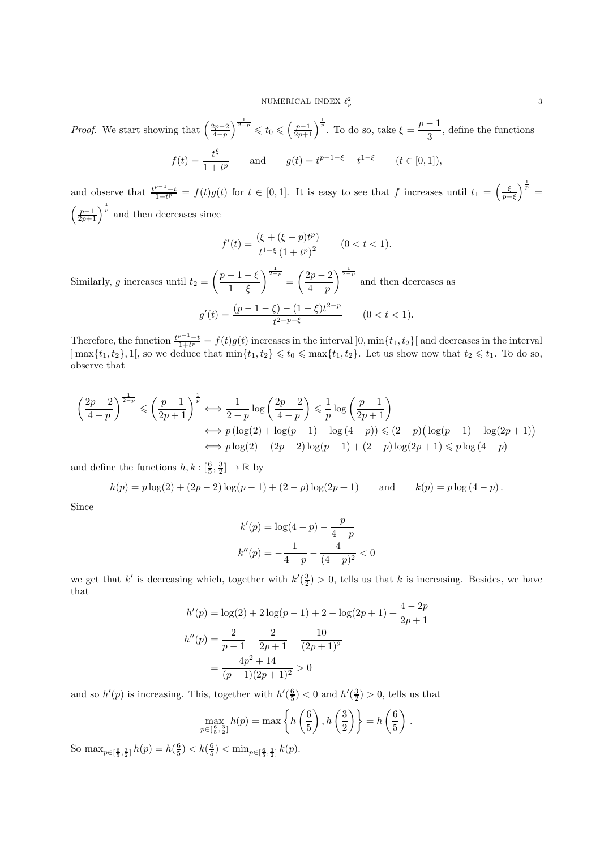## NUMERICAL INDEX  $\ell_p^2$

*Proof.* We start showing that  $\left(\frac{2p-2}{4-p}\right)^{\frac{1}{2-p}} \leqslant t_0 \leqslant \left(\frac{p-1}{2p+1}\right)^{\frac{1}{p}}$ . To do so, take  $\xi = \frac{p-1}{3}$  $\frac{1}{3}$ , define the functions  $f(t) = \frac{t^{\xi}}{1+t}$  $\frac{t^*}{1+t^p}$  and  $g(t) = t^{p-1-\xi} - t^{1-\xi}$   $(t \in [0,1]),$ 

and observe that  $\frac{t^{p-1}-t}{1+t^p} = f(t)g(t)$  for  $t \in [0,1]$ . It is easy to see that f increases until  $t_1 = \left(\frac{\xi}{p-\xi}\right)^{\frac{1}{p}}$  $\left(\frac{p-1}{2p+1}\right)^{\frac{1}{p}}$  and then decreases since

$$
f'(t) = \frac{(\xi + (\xi - p)t^p)}{t^{1-\xi} (1 + t^p)^2}
$$
 (0 < t < 1).

Similarly, g increases until  $t_2 = \left(\frac{p-1-\xi}{1-\xi}\right)$  $1 - \xi$  $\int^{\frac{1}{2-p}} = \left(\frac{2p-2}{4}\right)$  $4-p$  $\int_{0}^{\frac{1}{2-p}}$  and then decreases as  $g'(t) = \frac{(p-1-\xi)-(1-\xi)t^{2-p}}{t^{2-p+\xi}}$  $\frac{t^2}{t^{2-p+\xi}}$  (0 < t < 1).

Therefore, the function  $\frac{t^{p-1}-t}{1+t^p} = f(t)g(t)$  increases in the interval  $]0, \min\{t_1, t_2\}$  and decreases in the interval  $] \max\{t_1, t_2\}, 1[,$  so we deduce that  $\min\{t_1, t_2\} \leq t_0 \leq \max\{t_1, t_2\}.$  Let us show now that  $t_2 \leq t_1$ . To do so, observe that

$$
\left(\frac{2p-2}{4-p}\right)^{\frac{1}{2-p}} \leqslant \left(\frac{p-1}{2p+1}\right)^{\frac{1}{p}} \iff \frac{1}{2-p} \log\left(\frac{2p-2}{4-p}\right) \leqslant \frac{1}{p} \log\left(\frac{p-1}{2p+1}\right)
$$

$$
\iff p\left(\log(2) + \log(p-1) - \log(4-p)\right) \leqslant (2-p)\left(\log(p-1) - \log(2p+1)\right)
$$

$$
\iff p\log(2) + (2p-2)\log(p-1) + (2-p)\log(2p+1) \leqslant p\log\left(4-p\right)
$$

and define the functions  $h, k : [\frac{6}{5}, \frac{3}{2}] \to \mathbb{R}$  by

$$
h(p) = p \log(2) + (2p - 2) \log(p - 1) + (2 - p) \log(2p + 1) \quad \text{and} \quad k(p) = p \log(4 - p).
$$

Since

$$
k'(p) = \log(4-p) - \frac{p}{4-p}
$$
  

$$
k''(p) = -\frac{1}{4-p} - \frac{4}{(4-p)^2} < 0
$$

we get that k' is decreasing which, together with  $k'(\frac{3}{2}) > 0$ , tells us that k is increasing. Besides, we have that

$$
h'(p) = \log(2) + 2\log(p - 1) + 2 - \log(2p + 1) + \frac{4 - 2p}{2p + 1}
$$

$$
h''(p) = \frac{2}{p - 1} - \frac{2}{2p + 1} - \frac{10}{(2p + 1)^2}
$$

$$
= \frac{4p^2 + 14}{(p - 1)(2p + 1)^2} > 0
$$

and so  $h'(p)$  is increasing. This, together with  $h'(\frac{6}{5}) < 0$  and  $h'(\frac{3}{2}) > 0$ , tells us that

$$
\max_{p \in \left[\frac{6}{5}, \frac{3}{2}\right]} h(p) = \max\left\{ h\left(\frac{6}{5}\right), h\left(\frac{3}{2}\right) \right\} = h\left(\frac{6}{5}\right)
$$

.

So  $\max_{p \in \left[\frac{6}{5}, \frac{3}{2}\right]} h(p) = h(\frac{6}{5}) < k(\frac{6}{5}) < \min_{p \in \left[\frac{6}{5}, \frac{3}{2}\right]} k(p)$ .

3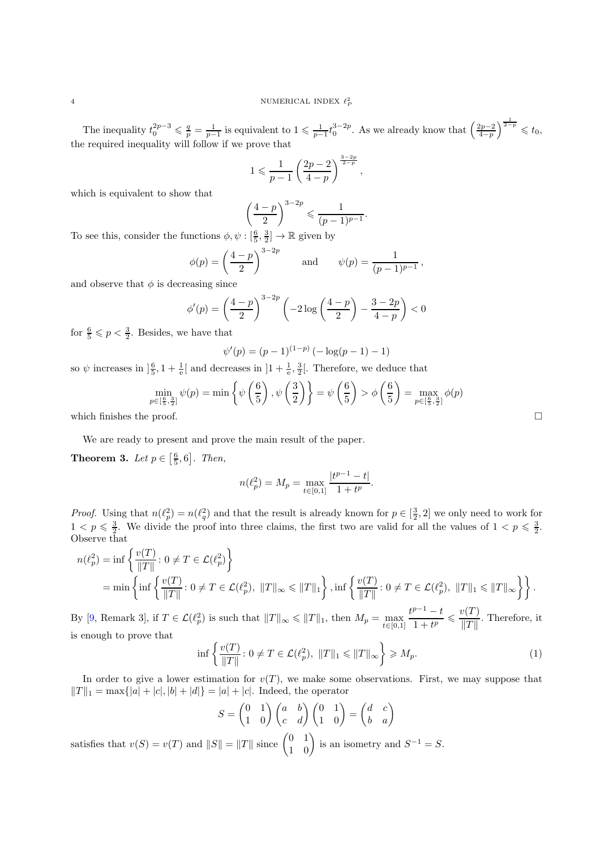The inequality  $t_0^{2p-3} \leqslant \frac{q}{p} = \frac{1}{p-1}$  is equivalent to  $1 \leqslant \frac{1}{p-1} t_0^{3-2p}$ . As we already know that  $\left(\frac{2p-2}{4-p}\right)^{\frac{1}{2-p}} \leqslant t_0$ , the required inequality will follow if we prove that

$$
1 \leqslant \frac{1}{p-1} \left( \frac{2p-2}{4-p} \right)^{\frac{3-2p}{2-p}},
$$

which is equivalent to show that

$$
\left(\frac{4-p}{2}\right)^{3-2p} \leqslant \frac{1}{(p-1)^{p-1}}.
$$

To see this, consider the functions  $\phi, \psi : [\frac{6}{5}, \frac{3}{2}] \to \mathbb{R}$  given by

$$
\phi(p) = \left(\frac{4-p}{2}\right)^{3-2p}
$$
 and  $\psi(p) = \frac{1}{(p-1)^{p-1}}$ ,

and observe that  $\phi$  is decreasing since

$$
\phi'(p) = \left(\frac{4-p}{2}\right)^{3-2p} \left(-2\log\left(\frac{4-p}{2}\right) - \frac{3-2p}{4-p}\right) < 0
$$

for  $\frac{6}{5} \leqslant p < \frac{3}{2}$ . Besides, we have that

$$
\psi'(p) = (p-1)^{(1-p)} (-\log(p-1) - 1)
$$

so  $\psi$  increases in  $]\frac{6}{5}$ ,  $1+\frac{1}{e}[\text{ and decreases in }]1+\frac{1}{e},\frac{3}{2}[\text{. Therefore, we deduce that}$ 

$$
\min_{p \in \left[\frac{6}{5}, \frac{3}{2}\right]} \psi(p) = \min\left\{\psi\left(\frac{6}{5}\right), \psi\left(\frac{3}{2}\right)\right\} = \psi\left(\frac{6}{5}\right) > \phi\left(\frac{6}{5}\right) = \max_{p \in \left[\frac{6}{5}, \frac{3}{2}\right]} \phi(p)
$$
\nwhich finishes the proof.

We are ready to present and prove the main result of the paper.

**Theorem 3.** Let  $p \in \left[\frac{6}{5}, 6\right]$ . Then,

$$
n(\ell_p^2) = M_p = \max_{t \in [0,1]} \frac{|t^{p-1} - t|}{1 + t^p}.
$$

*Proof.* Using that  $n(\ell_p^2) = n(\ell_q^2)$  and that the result is already known for  $p \in [\frac{3}{2}, 2]$  we only need to work for  $1 < p \leqslant \frac{3}{2}$ . We divide the proof into three claims, the first two are valid for all the values of  $1 < p \leqslant \frac{3}{2}$ . Observe that

$$
n(\ell_p^2) = \inf \left\{ \frac{v(T)}{\|T\|} : 0 \neq T \in \mathcal{L}(\ell_p^2) \right\}
$$
  
= 
$$
\min \left\{ \inf \left\{ \frac{v(T)}{\|T\|} : 0 \neq T \in \mathcal{L}(\ell_p^2), \|T\|_{\infty} \le \|T\|_1 \right\}, \inf \left\{ \frac{v(T)}{\|T\|} : 0 \neq T \in \mathcal{L}(\ell_p^2), \|T\|_1 \le \|T\|_{\infty} \right\} \right\}.
$$

By [\[9,](#page-11-5) Remark 3], if  $T \in \mathcal{L}(\ell_p^2)$  is such that  $||T||_{\infty} \le ||T||_1$ , then  $M_p = \max_{t \in [0,1]}$  $t^{p-1} - t$  $\frac{p-1-t}{1+t^p} \leqslant \frac{v(T)}{\|T\|}$  $\frac{f(x)}{\|T\|}$ . Therefore, it is enough to prove that

<span id="page-3-0"></span>
$$
\inf \left\{ \frac{v(T)}{\|T\|} : 0 \neq T \in \mathcal{L}(\ell_p^2), \|T\|_1 \le \|T\|_{\infty} \right\} \ge M_p. \tag{1}
$$

In order to give a lower estimation for  $v(T)$ , we make some observations. First, we may suppose that  $||T||_1 = \max{ |a| + |c|, |b| + |d| } = |a| + |c|$ . Indeed, the operator

$$
S = \begin{pmatrix} 0 & 1 \\ 1 & 0 \end{pmatrix} \begin{pmatrix} a & b \\ c & d \end{pmatrix} \begin{pmatrix} 0 & 1 \\ 1 & 0 \end{pmatrix} = \begin{pmatrix} d & c \\ b & a \end{pmatrix}
$$

satisfies that  $v(S) = v(T)$  and  $||S|| = ||T||$  since  $\begin{pmatrix} 0 & 1 \\ 1 & 0 \end{pmatrix}$  is an isometry and  $S^{-1} = S$ .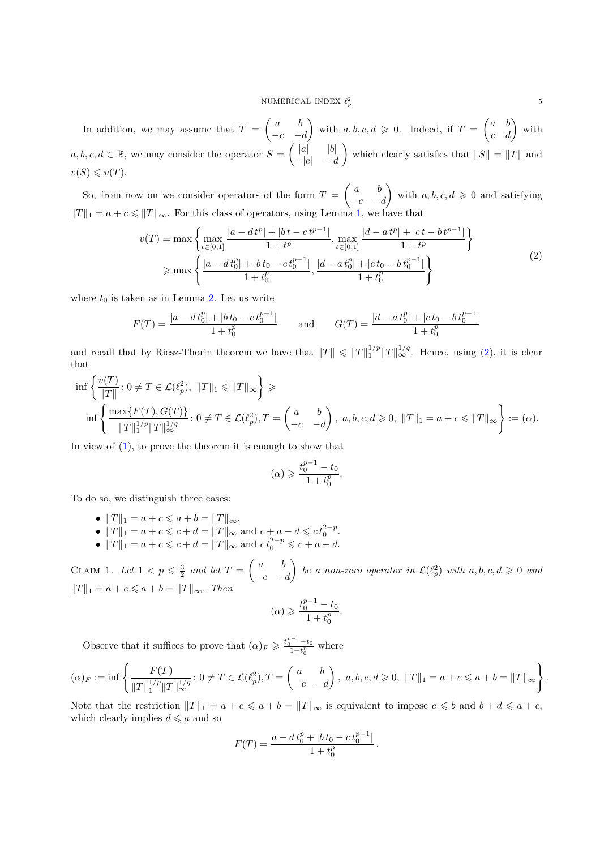## NUMERICAL INDEX  $\ell_p^2$

In addition, we may assume that  $T = \begin{pmatrix} a & b \\ c & d \end{pmatrix}$  $-c$   $-d$ with  $a, b, c, d \geqslant 0$ . Indeed, if  $T = \begin{pmatrix} a & b \\ c & d \end{pmatrix}$  with  $a, b, c, d \in \mathbb{R}$ , we may consider the operator  $S = \begin{pmatrix} |a| & |b| \\ |a| & |a| \end{pmatrix}$  $-|c|$   $-|d|$ which clearly satisfies that  $||S|| = ||T||$  and  $v(S) \leqslant v(T)$ .

So, from now on we consider operators of the form  $T = \begin{pmatrix} a & b \\ c & d \end{pmatrix}$  $-c$   $-d$ with  $a, b, c, d \geqslant 0$  and satisfying  $||T||_1 = a + c \le ||T||_{\infty}$ . For this class of operators, using Lemma [1,](#page-1-0) we have that

<span id="page-4-0"></span>
$$
v(T) = \max\left\{\max_{t \in [0,1]} \frac{|a - dt^p| + |bt - ct^{p-1}|}{1 + t^p}, \max_{t \in [0,1]} \frac{|d - at^p| + |ct - bt^{p-1}|}{1 + t^p}\right\}
$$
  
\n
$$
\ge \max\left\{\frac{|a - dt_0^p| + |bt_0 - ct_0^{p-1}|}{1 + t_0^p}, \frac{|d - at_0^p| + |ct_0 - bt_0^{p-1}|}{1 + t_0^p}\right\}
$$
\n(2)

where  $t_0$  is taken as in Lemma [2.](#page-1-1) Let us write

$$
F(T) = \frac{|a - dt_0^p| + |bt_0 - ct_0^{p-1}|}{1 + t_0^p} \quad \text{and} \quad G(T) = \frac{|d - at_0^p| + |ct_0 - bt_0^{p-1}|}{1 + t_0^p}
$$

and recall that by Riesz-Thorin theorem we have that  $||T|| \le ||T||_1^{1/p} ||T||_{\infty}^{1/q}$ . Hence, using [\(2\)](#page-4-0), it is clear that

$$
\inf \left\{ \frac{v(T)}{\|T\|} : 0 \neq T \in \mathcal{L}(\ell_p^2), \|T\|_1 \le \|T\|_{\infty} \right\} \ge \n\inf \left\{ \frac{\max\{F(T), G(T)\}}{\|T\|_1^{1/p} \|T\|_{\infty}^{1/q}} : 0 \neq T \in \mathcal{L}(\ell_p^2), T = \begin{pmatrix} a & b \\ -c & -d \end{pmatrix}, a, b, c, d \ge 0, \|T\|_1 = a + c \le \|T\|_{\infty} \right\} := (\alpha).
$$

In view of  $(1)$ , to prove the theorem it is enough to show that

$$
(\alpha) \geqslant \frac{t_0^{p-1}-t_0}{1+t_0^p}.
$$

To do so, we distinguish three cases:

- $||T||_1 = a + c \leq a + b = ||T||_{\infty}.$
- $||T||_1 = a + c \leqslant c + d = ||T||_{\infty}$  and  $c + a d \leqslant ct_0^{2-p}$ .
- $||T||_1 = a + c \leqslant c + d = ||T||_{\infty}$  and  $ct_0^{2-p} \leqslant c + a d$ .

CLAIM 1. Let  $1 < p \leqslant \frac{3}{2}$  and let  $T = \begin{pmatrix} a & b \\ -c & -d \end{pmatrix}$  $-c$   $-d$ *be a non-zero operator in*  $\mathcal{L}(\ell_p^2)$  with  $a, b, c, d \geq 0$  and  $||T||_1 = a + c \leq a + b = ||T||_{\infty}$ *. Then* 

$$
(\alpha) \geqslant \frac{t_0^{p-1}-t_0}{1+t_0^p}.
$$

Observe that it suffices to prove that  $(\alpha)_F \geq \frac{t_0^{p-1}-t_0}{1+t^p}$  $\frac{-\iota_0}{1+t_0^p}$  where

$$
(\alpha)_F := \inf \left\{ \frac{F(T)}{\|T\|_1^{1/p} \|T\|_\infty^{1/q}} \colon 0 \neq T \in \mathcal{L}(\ell_p^2), T = \begin{pmatrix} a & b \\ -c & -d \end{pmatrix}, \ a, b, c, d \geqslant 0, \ \|T\|_1 = a + c \leqslant a + b = \|T\|_\infty \right\}.
$$

Note that the restriction  $||T||_1 = a + c \leqslant a + b = ||T||_{\infty}$  is equivalent to impose  $c \leqslant b$  and  $b + d \leqslant a + c$ , which clearly implies  $d \leq a$  and so

$$
F(T) = \frac{a-d t_0^p + |b t_0 - c t_0^{p-1}|}{1 + t_0^p}.
$$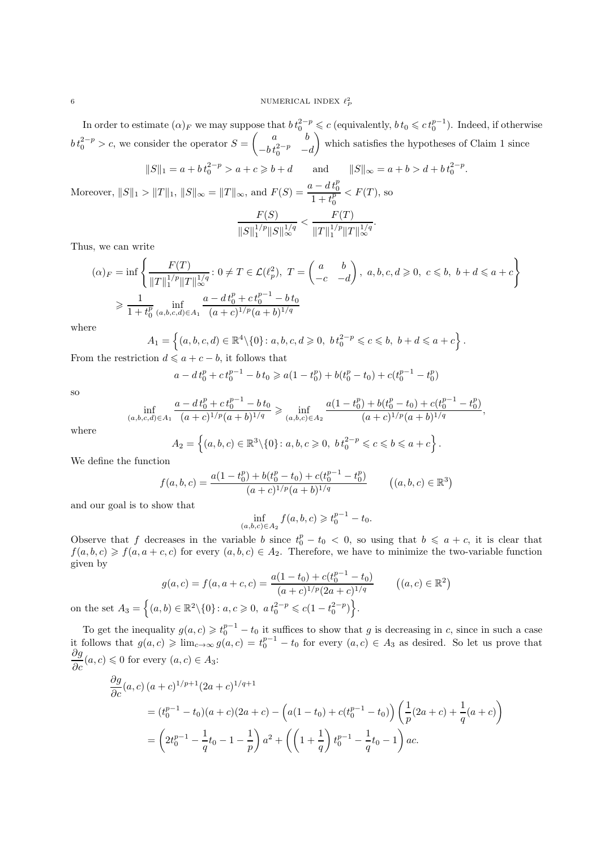In order to estimate  $(\alpha)_F$  we may suppose that  $bt_0^{2-p} \leqslant c$  (equivalently,  $bt_0 \leqslant ct_0^{p-1}$ ). Indeed, if otherwise  $bt_0^{2-p} > c$ , we consider the operator  $S = \begin{pmatrix} a & b \\ -bt^{2-p} & -dt \end{pmatrix}$  $-b t_0^{2-p}$  -d which satisfies the hypotheses of Claim 1 since

$$
||S||_1 = a + bt_0^{2-p} > a + c \ge b + d \quad \text{and} \quad ||S||_{\infty} = a + b > d + bt_0^{2-p}.
$$

Moreover,  $||S||_1 > ||T||_1$ ,  $||S||_{\infty} = ||T||_{\infty}$ , and  $F(S) = \frac{a - dt_0^p}{1 + t^p}$  $1 + t_0^p$  $\langle F(T),\text{so} \rangle$  $F(S)$  $F(T)$ 

$$
\frac{1}{\|S\|_1^{1/p} \|S\|_{\infty}^{1/q}} < \frac{1}{\|T\|_1^{1/p} \|T\|_{\infty}^{1/q}}.
$$

Thus, we can write

$$
(\alpha)_F = \inf \left\{ \frac{F(T)}{\|T\|_1^{1/p} \|T\|_\infty^{1/q}} : 0 \neq T \in \mathcal{L}(\ell_p^2), \ T = \begin{pmatrix} a & b \\ -c & -d \end{pmatrix}, \ a, b, c, d \ge 0, \ c \le b, \ b + d \le a + c \right\}
$$

$$
\ge \frac{1}{1 + t_0^p} \inf_{(a, b, c, d) \in A_1} \frac{a - dt_0^p + ct_0^{p-1} - bt_0}{(a + c)^{1/p} (a + b)^{1/q}}
$$

where

$$
A_1 = \left\{ (a, b, c, d) \in \mathbb{R}^4 \setminus \{0\} : a, b, c, d \ge 0, bt_0^{2-p} \le c \le b, b+d \le a+c \right\}
$$

.

From the restriction  $d \leq a + c - b$ , it follows that

$$
a - dt_0^p + ct_0^{p-1} - bt_0 \ge a(1 - t_0^p) + b(t_0^p - t_0) + c(t_0^{p-1} - t_0^p)
$$

so

$$
\inf_{(a,b,c,d)\in A_1} \frac{a-d\,t_0^p + ct_0^{p-1} - bt_0}{(a+c)^{1/p}(a+b)^{1/q}} \geq \inf_{(a,b,c)\in A_2} \frac{a(1-t_0^p) + b(t_0^p - t_0) + c(t_0^{p-1} - t_0^p)}{(a+c)^{1/p}(a+b)^{1/q}},
$$

where

$$
A_2 = \left\{ (a, b, c) \in \mathbb{R}^3 \backslash \{0\} : a, b, c \ge 0, \ b \, t_0^{2-p} \leqslant c \leqslant b \leqslant a + c \right\}.
$$

We define the function

$$
f(a,b,c) = \frac{a(1-t_0^p) + b(t_0^p - t_0) + c(t_0^{p-1} - t_0^p)}{(a+c)^{1/p}(a+b)^{1/q}}
$$
 
$$
((a,b,c) \in \mathbb{R}^3)
$$

and our goal is to show that

$$
\inf_{(a,b,c)\in A_2} f(a,b,c) \geq t_0^{p-1} - t_0.
$$

Observe that f decreases in the variable b since  $t_0^p - t_0 < 0$ , so using that  $b \le a + c$ , it is clear that  $f(a, b, c) \geq f(a, a + c, c)$  for every  $(a, b, c) \in A_2$ . Therefore, we have to minimize the two-variable function given by

$$
g(a, c) = f(a, a + c, c) = \frac{a(1 - t_0) + c(t_0^{p-1} - t_0)}{(a + c)^{1/p}(2a + c)^{1/q}}
$$
 
$$
((a, c) \in \mathbb{R}^2)
$$
  

$$
u, b) \in \mathbb{R}^2 \setminus \{0\} : a, c \ge 0, \quad a \cdot t_0^{2-p} \le c(1 - t_0^{2-p})\}.
$$

on the set  $A_3 = \{(a, b) \in \mathbb{R}^2 \setminus \{0\} : a, c \geq 0, a t_0^{2-p} \leq c(1 - t_0^{2-p})\}$ .

To get the inequality  $g(a, c) \geq t_0^{p-1} - t_0$  it suffices to show that g is decreasing in c, since in such a case it follows that  $g(a, c) \geq \lim_{c \to \infty} g(a, c) = t_0^{p-1} - t_0$  for every  $(a, c) \in A_3$  as desired. So let us prove that  $\frac{\partial g}{\partial c}(a, c) \leq 0$  for every  $(a, c) \in A_3$ :

$$
\frac{\partial g}{\partial c}(a, c) (a + c)^{1/p+1} (2a + c)^{1/q+1}
$$
\n
$$
= (t_0^{p-1} - t_0)(a + c)(2a + c) - (a(1 - t_0) + c(t_0^{p-1} - t_0)) \left(\frac{1}{p}(2a + c) + \frac{1}{q}(a + c)\right)
$$
\n
$$
= \left(2t_0^{p-1} - \frac{1}{q}t_0 - 1 - \frac{1}{p}\right)a^2 + \left(\left(1 + \frac{1}{q}\right)t_0^{p-1} - \frac{1}{q}t_0 - 1\right)ac.
$$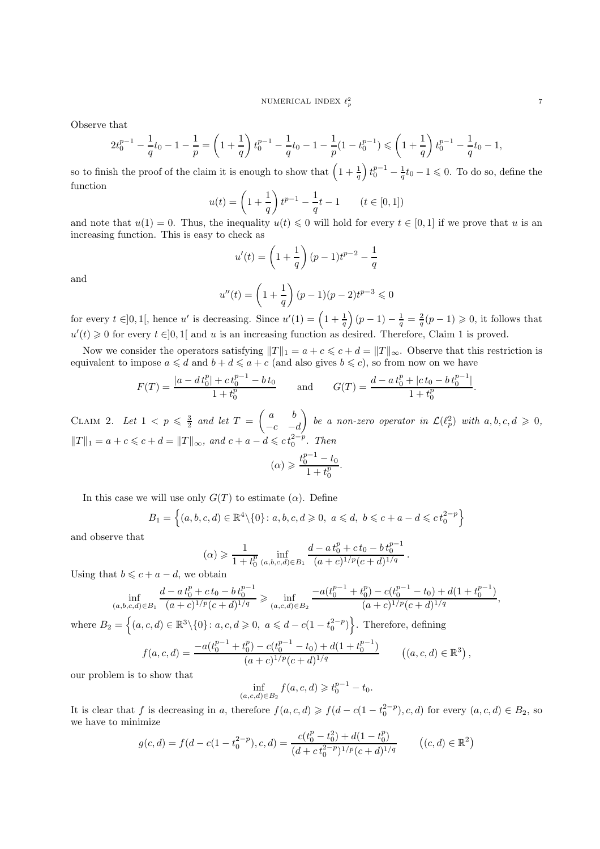## NUMERICAL INDEX  $\ell_p^2$

Observe that

$$
2t_0^{p-1} - \frac{1}{q}t_0 - 1 - \frac{1}{p} = \left(1 + \frac{1}{q}\right)t_0^{p-1} - \frac{1}{q}t_0 - 1 - \frac{1}{p}(1 - t_0^{p-1}) \leq \left(1 + \frac{1}{q}\right)t_0^{p-1} - \frac{1}{q}t_0 - 1,
$$

so to finish the proof of the claim it is enough to show that  $\left(1+\frac{1}{q}\right)t_0^{p-1}-\frac{1}{q}t_0-1\leqslant 0$ . To do so, define the function

$$
u(t) = \left(1 + \frac{1}{q}\right)t^{p-1} - \frac{1}{q}t - 1 \qquad (t \in [0, 1])
$$

and note that  $u(1) = 0$ . Thus, the inequality  $u(t) \leq 0$  will hold for every  $t \in [0,1]$  if we prove that u is an increasing function. This is easy to check as

$$
u'(t) = \left(1 + \frac{1}{q}\right)(p-1)t^{p-2} - \frac{1}{q}
$$

and

$$
u''(t) = \left(1 + \frac{1}{q}\right)(p-1)(p-2)t^{p-3} \le 0
$$

for every  $t \in ]0,1[$ , hence u' is decreasing. Since  $u'(1) = \left(1 + \frac{1}{q}\right)(p-1) - \frac{1}{q} = \frac{2}{q}(p-1) \geqslant 0$ , it follows that  $u'(t) \geq 0$  for every  $t \in ]0,1[$  and u is an increasing function as desired. Therefore, Claim 1 is proved.

Now we consider the operators satisfying  $||T||_1 = a + c \leq c + d = ||T||_{\infty}$ . Observe that this restriction is equivalent to impose  $a \leq d$  and  $b + d \leq a + c$  (and also gives  $b \leq c$ ), so from now on we have

$$
F(T) = \frac{|a - dt_0^p| + ct_0^{p-1} - bt_0}{1 + t_0^p} \quad \text{and} \quad G(T) = \frac{d - at_0^p + |ct_0 - bt_0^{p-1}|}{1 + t_0^p}.
$$

CLAIM 2. Let  $1 \leq p \leq \frac{3}{2}$  and let  $T = \begin{pmatrix} a & b \\ -c & -d \end{pmatrix}$  $-c$   $-d$ *be a non-zero operator in*  $\mathcal{L}(\ell_p^2)$  with  $a, b, c, d \geq 0$ ,  $||T||_1 = a + c \leqslant c + d = ||T||_{\infty}$ , and  $c + a - d \leqslant ct_0^{2-p}$ . Then  $(\alpha) \geqslant \frac{t_0^{p-1}-t_0}{1+t_0}$  $1 + t_0^p$ .

In this case we will use only  $G(T)$  to estimate ( $\alpha$ ). Define

$$
B_1 = \left\{ (a, b, c, d) \in \mathbb{R}^4 \setminus \{0\} : a, b, c, d \ge 0, \ a \le d, \ b \le c + a - d \le c \, t_0^{2-p} \right\}
$$

and observe that

$$
(\alpha) \geqslant \frac{1}{1+t_0^p} \inf_{(a,b,c,d)\in B_1} \frac{d-a t_0^p + c t_0 - b t_0^{p-1}}{(a+c)^{1/p} (c+d)^{1/q}} \, .
$$

Using that  $b \leqslant c + a - d$ , we obtain

$$
\inf_{(a,b,c,d)\in B_1} \frac{d - at_0^p + ct_0 - bt_0^{p-1}}{(a+c)^{1/p}(c+d)^{1/q}} \ge \inf_{(a,c,d)\in B_2} \frac{-a(t_0^{p-1} + t_0^p) - c(t_0^{p-1} - t_0) + d(1 + t_0^{p-1})}{(a+c)^{1/p}(c+d)^{1/q}},
$$

where  $B_2 = \left\{(a, c, d) \in \mathbb{R}^3 \setminus \{0\} : a, c, d \geqslant 0, a \leqslant d - c(1 - t_0^{2-p})\right\}$ . Therefore, defining

$$
f(a,c,d) = \frac{-a(t_0^{p-1} + t_0^p) - c(t_0^{p-1} - t_0) + d(1 + t_0^{p-1})}{(a+c)^{1/p}(c+d)^{1/q}} \qquad ((a,c,d) \in \mathbb{R}^3),
$$

our problem is to show that

$$
\inf_{(a,c,d)\in B_2} f(a,c,d) \geq t_0^{p-1} - t_0.
$$

It is clear that f is decreasing in a, therefore  $f(a, c, d) \geqslant f(d - c(1 - t_0^{2-p}), c, d)$  for every  $(a, c, d) \in B_2$ , so we have to minimize

$$
g(c,d) = f(d - c(1 - t_0^{2-p}), c, d) = \frac{c(t_0^p - t_0^2) + d(1 - t_0^p)}{(d + ct_0^{2-p})^{1/p}(c + d)^{1/q}}
$$
 ((c,d)  $\in \mathbb{R}^2$ )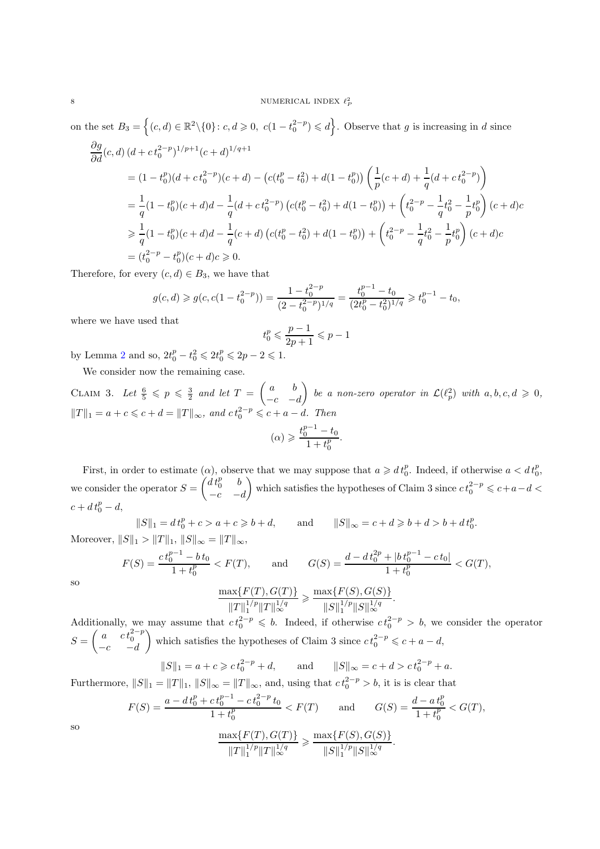on the set  $B_3 = \left\{(c, d) \in \mathbb{R}^2 \setminus \{0\} : c, d \geqslant 0, c(1 - t_0^{2-p}) \leqslant d \right\}$ . Observe that g is increasing in d since  $\frac{\partial g}{\partial d}(c, d) (d + ct_0^{2-p})^{1/p+1}(c+d)^{1/q+1}$  $= (1-t_0^p)(d+ct_0^{2-p})(c+d) - (c(t_0^p - t_0^2) + d(1-t_0^p))\left(\frac{1}{p}\right)$  $\frac{1}{p}(c+d) + \frac{1}{q}(d + c t_0^{2-p})\bigg)$  $=$  $\frac{1}{1}$  $\frac{1}{q}(1-t_0^p)(c+d)d-\frac{1}{q}$  $\frac{1}{q}(d+ct_0^{2-p})\left(c(t_0^p-t_0^2)+d(1-t_0^p)\right)+\left(t_0^{2-p}-\frac{1}{q}\right)$  $\frac{1}{q}t_0^2-\frac{1}{p}$  $\frac{1}{p}t_0^p$  $\bigg) (c + d)c$  $\geqslant \frac{1}{1}$  $\frac{1}{q}(1-t_0^p)(c+d)d-\frac{1}{q}$  $\frac{1}{q}(c+d)\left(c(t_0^p-t_0^2)+d(1-t_0^p)\right)+\left(t_0^{2-p}-\frac{1}{q}\right)$  $\frac{1}{q}t_0^2-\frac{1}{p}$  $\frac{1}{p}t_0^p$  $\bigg) (c + d)c$  $=(t_0^{2-p}-t_0^p)(c+d)c \geq 0.$ 

Therefore, for every  $(c, d) \in B_3$ , we have that

$$
g(c,d) \ge g(c, c(1-t_0^{2-p})) = \frac{1-t_0^{2-p}}{(2-t_0^{2-p})^{1/q}} = \frac{t_0^{p-1}-t_0}{(2t_0^p-t_0^2)^{1/q}} \ge t_0^{p-1}-t_0,
$$

where we have used that

$$
t_0^p \leqslant \frac{p-1}{2p+1} \leqslant p-1
$$

by Lemma [2](#page-1-1) and so,  $2t_0^p - t_0^2 \le 2t_0^p \le 2p - 2 \le 1$ .

We consider now the remaining case.

CLAIM 3. Let  $\frac{6}{5} \leqslant p \leqslant \frac{3}{2}$  and let  $T = \begin{pmatrix} a & b \\ -c & -d \end{pmatrix}$  $-c$   $-d$ *be a non-zero operator in*  $\mathcal{L}(\ell_p^2)$  with  $a, b, c, d \geq 0$ ,  $||T||_1 = a + c \leqslant c + d = ||T||_{\infty}$ , and  $ct_0^{2-p} \leqslant c + a - d$ . Then  $(\alpha) \geqslant \frac{t_0^{p-1}-t_0}{1+t_0^p}$  $1 + t_0^p$ .

First, in order to estimate  $(\alpha)$ , observe that we may suppose that  $a \geq d t_0^p$ . Indeed, if otherwise  $a < d t_0^p$ , we consider the operator  $S = \begin{pmatrix} d t_0^p & b \end{pmatrix}$  $-c$   $-d$ which satisfies the hypotheses of Claim 3 since  $ct_0^{2-p} \leqslant c+a-d$  $c + dt_0^p - d,$ 

 $||S||_1 = dt_0^p + c > a + c \ge b + d$ , and  $||S||_{\infty} = c + d \ge b + d > b + dt_0^p$ . Moreover,  $||S||_1 > ||T||_1$ ,  $||S||_{\infty} = ||T||_{\infty}$ ,

$$
F(S) = \frac{ct_0^{p-1} - bt_0}{1 + t_0^p} < F(T), \qquad \text{and} \qquad G(S) = \frac{d - dt_0^{2p} + |bt_0^{p-1} - ct_0|}{1 + t_0^p} < G(T),
$$
\n
$$
\frac{\max\{F(T), G(T)\}}{\|T\|_1^{1/p} \|T\|_\infty^{1/q}} \ge \frac{\max\{F(S), G(S)\}}{\|S\|_1^{1/p} \|S\|_\infty^{1/q}}.
$$

so

Additionally, we may assume that 
$$
ct_0^{2-p} \leq b
$$
. Indeed, if otherwise  $ct_0^{2-p} > b$ , we consider the operator 
$$
S = \begin{pmatrix} a & ct_0^{2-p} \\ -c & -d \end{pmatrix}
$$
 which satisfies the hypotheses of Claim 3 since  $ct_0^{2-p} \leq c + a - d$ ,

$$
||S||_1 = a + c \ge ct_0^{2-p} + d
$$
, and  $||S||_{\infty} = c + d > ct_0^{2-p} + a$ .

Furthermore,  $||S||_1 = ||T||_1$ ,  $||S||_{\infty} = ||T||_{\infty}$ , and, using that  $ct_0^{2-p} > b$ , it is is clear that

$$
F(S) = \frac{a - dt_0^p + ct_0^{p-1} - ct_0^{2-p}t_0}{1 + t_0^p} < F(T) \quad \text{and} \quad G(S) = \frac{d - at_0^p}{1 + t_0^p} < G(T),
$$
\n
$$
\frac{\max\{F(T), G(T)\}}{\|T\|_1^{1/p} \|T\|_\infty^{1/q}} \ge \frac{\max\{F(S), G(S)\}}{\|S\|_1^{1/p} \|S\|_\infty^{1/q}}.
$$

so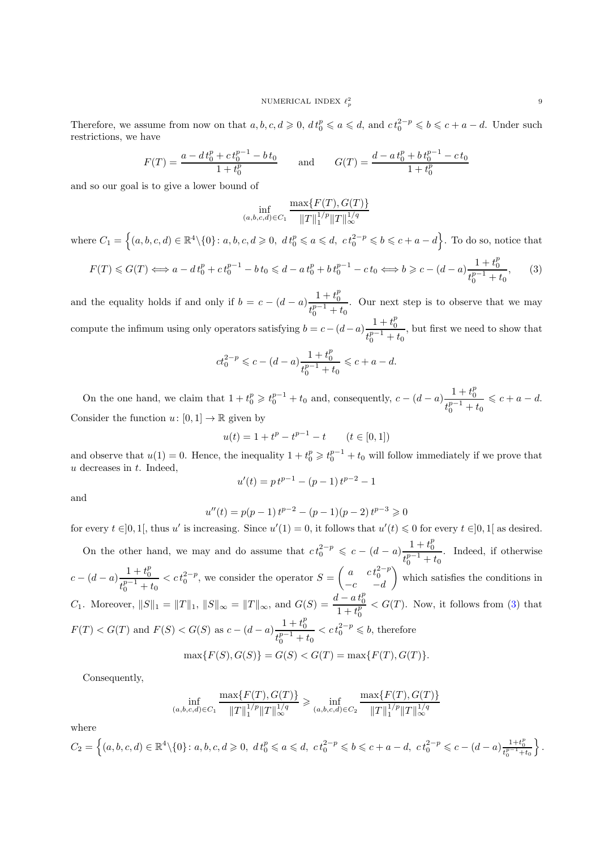Therefore, we assume from now on that  $a, b, c, d \geq 0$ ,  $dt_0^p \leq a \leq d$ , and  $ct_0^{2-p} \leq b \leq c + a - d$ . Under such restrictions, we have

$$
F(T) = \frac{a - dt_0^p + ct_0^{p-1} - bt_0}{1 + t_0^p} \quad \text{and} \quad G(T) = \frac{d - at_0^p + bt_0^{p-1} - ct_0}{1 + t_0^p}
$$

and so our goal is to give a lower bound of

$$
\inf_{(a,b,c,d)\in C_1} \frac{\max\{F(T), G(T)\}}{\|T\|_1^{1/p} \|T\|_{\infty}^{1/q}}
$$

where  $C_1 = \left\{(a, b, c, d) \in \mathbb{R}^4 \setminus \{0\} : a, b, c, d \geqslant 0, d t_0^p \leqslant a \leqslant d, c t_0^{2-p} \leqslant b \leqslant c + a - d \right\}$ . To do so, notice that p

<span id="page-8-0"></span>
$$
F(T) \le G(T) \iff a - dt_0^p + ct_0^{p-1} - bt_0 \le d - at_0^p + bt_0^{p-1} - ct_0 \iff b \ge c - (d - a) \frac{1 + t_0^p}{t_0^{p-1} + t_0},\tag{3}
$$

and the equality holds if and only if  $b = c - (d - a) \frac{1 + t_0^p}{a - 1}$  $t_0^{p-1} + t_0$ . Our next step is to observe that we may compute the infimum using only operators satisfying  $b = c - (d - a) \frac{1 + t_0^p}{1 - 1}$  $t_0^{p-1} + t_0$ , but first we need to show that

$$
ct_0^{2-p} \leqslant c- (d-a)\frac{1+t_0^p}{t_0^{p-1}+t_0} \leqslant c+a-d.
$$

On the one hand, we claim that  $1 + t_0^p \geq t_0^{p-1} + t_0$  and, consequently,  $c - (d - a) \frac{1 + t_0^p}{t_0^{p-1}}$  $t_0^{p-1} + t_0$  $\leqslant c + a - d.$ Consider the function  $u: [0, 1] \to \mathbb{R}$  given by

$$
u(t) = 1 + t^p - t^{p-1} - t \qquad (t \in [0, 1])
$$

and observe that  $u(1) = 0$ . Hence, the inequality  $1 + t_0^p \geq t_0^{p-1} + t_0$  will follow immediately if we prove that u decreases in t. Indeed,

$$
u'(t) = p t^{p-1} - (p-1) t^{p-2} - 1
$$

and

$$
u''(t) = p(p-1)t^{p-2} - (p-1)(p-2)t^{p-3} \ge 0
$$
  
for every  $t \in ]0,1[$ , thus u' is increasing. Since  $u'(1) = 0$ , it follows that  $u'(t) \le 0$  for every  $t \in ]0,1[$  as desired.

On the other hand, we may and do assume that  $ct_0^{2-p} \leqslant c - (d-a) \frac{1+t_0^p}{p-1}$  $t_0^{p-1} + t_0$ . Indeed, if otherwise  $c - (d - a) \frac{1 + t_0^p}{t_0^p - 1}$  $t_0^{p-1} + t_0$  $\langle c t_0^{2-p}, \text{ we consider the operator } S = \begin{pmatrix} a & ct_0^{2-p} \\ -c & -d \end{pmatrix}$  which satisfies the conditions in C<sub>1</sub>. Moreover,  $||S||_1 = ||T||_1$ ,  $||S||_{\infty} = ||T||_{\infty}$ , and  $G(S) = \frac{d - at_p^p}{1 + a^p}$  $1 + t_0^p$  $\langle G(T)$ . Now, it follows from [\(3\)](#page-8-0) that  $F(T) < G(T)$  and  $F(S) < G(S)$  as  $c - (d - a) \frac{1 + t_0^p}{n-1}$  $t_0^{p-1} + t_0$  $\langle ct_0^{2-p} \leq b, \text{ therefore}$  $\max\{F(S), G(S)\} = G(S) < G(T) = \max\{F(T), G(T)\}.$ 

Consequently,

$$
\inf_{(a,b,c,d)\in C_1} \frac{\max\{F(T),G(T)\}}{\|T\|_1^{1/p} \|T\|_\infty^{1/q}} \geq \inf_{(a,b,c,d)\in C_2} \frac{\max\{F(T),G(T)\}}{\|T\|_1^{1/p} \|T\|_\infty^{1/q}}
$$

where

$$
C_2 = \left\{ (a, b, c, d) \in \mathbb{R}^4 \setminus \{0\} : a, b, c, d \geq 0, \ dt_0^p \leq a \leq d, \ ct_0^{2-p} \leq b \leq c + a - d, \ ct_0^{2-p} \leq c - (d - a) \frac{1 + t_0^p}{t_0^{p-1} + t_0} \right\}.
$$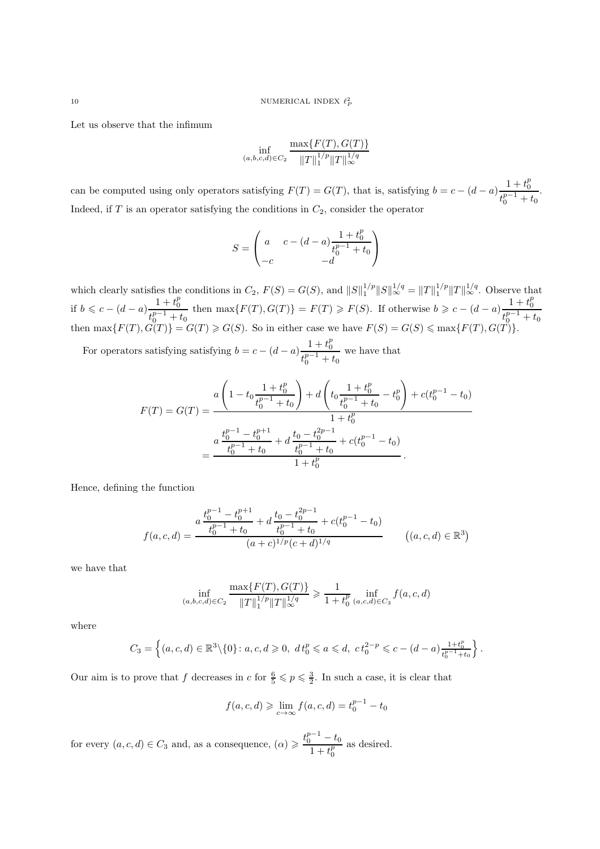Let us observe that the infimum

$$
\inf_{(a,b,c,d)\in C_2} \frac{\max\{F(T), G(T)\}}{\|T\|_1^{1/p} \|T\|_{\infty}^{1/q}}
$$

can be computed using only operators satisfying  $F(T) = G(T)$ , that is, satisfying  $b = c - (d - a) \frac{1 + t_0^p}{r-1}$  $t_0^{p-1} + t_0$ . Indeed, if  $T$  is an operator satisfying the conditions in  $C_2$ , consider the operator

$$
S = \begin{pmatrix} a & c - (d - a) \frac{1 + t_0^p}{t_0^{p-1} + t_0} \\ -c & -d \end{pmatrix}
$$

which clearly satisfies the conditions in  $C_2$ ,  $F(S) = G(S)$ , and  $||S||_1^{1/p} ||S||_{\infty}^{1/q} = ||T||_1^{1/p} ||T||_{\infty}^{1/q}$ . Observe that if  $b \leqslant c - (d - a) \frac{1 + t_0^p}{1 - 1}$  $t_0^{p-1} + t_0$ then max $\{F(T), G(T)\} = F(T) \geq F(S)$ . If otherwise  $b \geq c - (d - a) \frac{1 + t_0^p}{n-1}$  $t_0^{p-1} + t_0$ then  $\max\{F(T), G(T)\} = G(T) \geq G(S)$ . So in either case we have  $F(S) = G(S) \leq \max\{F(T), G(T)\}.$ 

For operators satisfying satisfying  $b = c - (d - a) \frac{1 + t_0^p}{1 - a}$  $t_0^{p-1} + t_0$ we have that

$$
F(T) = G(T) = \frac{a\left(1 - t_0 \frac{1 + t_0^p}{t_0^{p-1} + t_0}\right) + d\left(t_0 \frac{1 + t_0^p}{t_0^{p-1} + t_0} - t_0^p\right) + c(t_0^{p-1} - t_0)}{1 + t_0^p}
$$

$$
= \frac{a\frac{t_0^{p-1} - t_0^{p+1}}{t_0^{p-1} + t_0} + d\frac{t_0 - t_0^{2p-1}}{t_0^{p-1} + t_0} + c(t_0^{p-1} - t_0)}{1 + t_0^p}.
$$

Hence, defining the function

$$
f(a,c,d) = \frac{a \frac{t_0^{p-1} - t_0^{p+1}}{t_0^{p-1} + t_0} + d \frac{t_0 - t_0^{2p-1}}{t_0^{p-1} + t_0} + c(t_0^{p-1} - t_0)}{(a+c)^{1/p}(c+d)^{1/q}}
$$
  $((a,c,d) \in \mathbb{R}^3)$ 

we have that

$$
\inf_{(a,b,c,d)\in C_2} \frac{\max\{F(T),G(T)\}}{\|T\|_1^{1/p} \|T\|_\infty^{1/q}} \geq \frac{1}{1+t_0^p} \inf_{(a,c,d)\in C_3} f(a,c,d)
$$

where

$$
C_3 = \left\{ (a, c, d) \in \mathbb{R}^3 \setminus \{0\} : a, c, d \geq 0, \ dt_0^p \leq a \leq d, \ ct_0^{2-p} \leq c - (d - a) \frac{1 + t_0^p}{t_0^{p-1} + t_0} \right\}.
$$

Our aim is to prove that f decreases in c for  $\frac{6}{5} \leqslant p \leqslant \frac{3}{2}$ . In such a case, it is clear that

$$
f(a, c, d) \ge \lim_{c \to \infty} f(a, c, d) = t_0^{p-1} - t_0
$$

for every  $(a, c, d) \in C_3$  and, as a consequence,  $(\alpha) \geqslant \frac{t_0^{p-1}-t_0}{1+t_0^p}$  $1 + t_0^p$ as desired.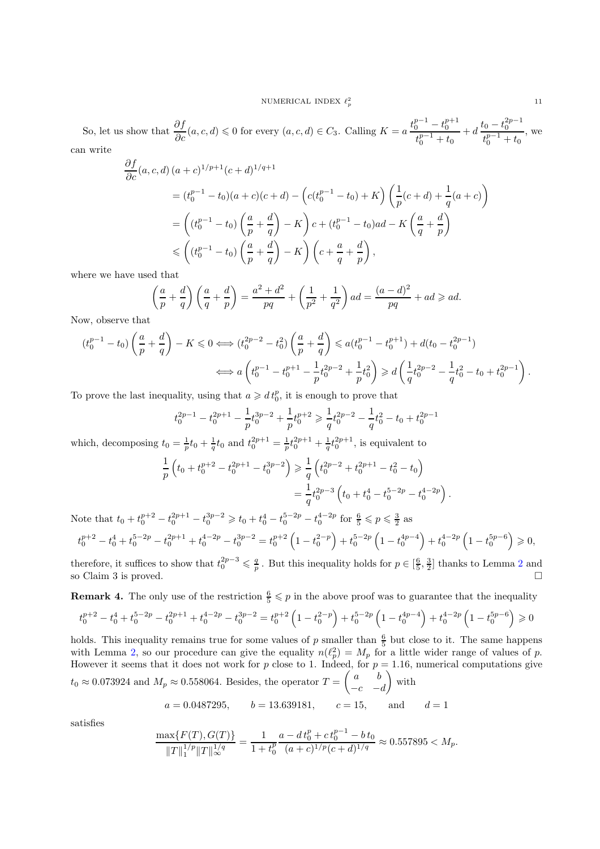So, let us show that  $\frac{\partial f}{\partial c}(a, c, d) \leq 0$  for every  $(a, c, d) \in C_3$ . Calling  $K = a \frac{t_0^{p-1} - t_0^{p+1}}{t_0^{p-1} + t_0}$  $t_0^{p-1} + t_0$  $+ d \frac{t_0 - t_0^{2p-1}}{t_0-1}$  $t_0^{p-1} + t_0$ , we can write

$$
\frac{\partial f}{\partial c}(a, c, d) (a + c)^{1/p+1} (c + d)^{1/q+1}
$$
\n
$$
= (t_0^{p-1} - t_0)(a + c)(c + d) - (c(t_0^{p-1} - t_0) + K) \left(\frac{1}{p}(c + d) + \frac{1}{q}(a + c)\right)
$$
\n
$$
= \left((t_0^{p-1} - t_0) \left(\frac{a}{p} + \frac{d}{q}\right) - K\right) c + (t_0^{p-1} - t_0)ad - K \left(\frac{a}{q} + \frac{d}{p}\right)
$$
\n
$$
\leq \left((t_0^{p-1} - t_0) \left(\frac{a}{p} + \frac{d}{q}\right) - K\right) \left(c + \frac{a}{q} + \frac{d}{p}\right),
$$

where we have used that

$$
\left(\frac{a}{p} + \frac{d}{q}\right)\left(\frac{a}{q} + \frac{d}{p}\right) = \frac{a^2 + d^2}{pq} + \left(\frac{1}{p^2} + \frac{1}{q^2}\right)ad = \frac{(a-d)^2}{pq} + ad \ge ad.
$$

Now, observe that

$$
(t_0^{p-1} - t_0) \left(\frac{a}{p} + \frac{d}{q}\right) - K \leq 0 \Longleftrightarrow (t_0^{2p-2} - t_0^2) \left(\frac{a}{p} + \frac{d}{q}\right) \leq a(t_0^{p-1} - t_0^{p+1}) + d(t_0 - t_0^{2p-1})
$$
  

$$
\Longleftrightarrow a \left(t_0^{p-1} - t_0^{p+1} - \frac{1}{p}t_0^{2p-2} + \frac{1}{p}t_0^2\right) \geq d \left(\frac{1}{q}t_0^{2p-2} - \frac{1}{q}t_0^2 - t_0 + t_0^{2p-1}\right).
$$

To prove the last inequality, using that  $a \geq d t_0^p$ , it is enough to prove that

$$
t_0^{2p-1} - t_0^{2p+1} - \frac{1}{p}t_0^{3p-2} + \frac{1}{p}t_0^{p+2} \ge \frac{1}{q}t_0^{2p-2} - \frac{1}{q}t_0^2 - t_0 + t_0^{2p-1}
$$

which, decomposing  $t_0 = \frac{1}{p}t_0 + \frac{1}{q}t_0$  and  $t_0^{2p+1} = \frac{1}{p}t_0^{2p+1} + \frac{1}{q}t_0^{2p+1}$ , is equivalent to

$$
\frac{1}{p}\left(t_0 + t_0^{p+2} - t_0^{2p+1} - t_0^{3p-2}\right) \ge \frac{1}{q}\left(t_0^{2p-2} + t_0^{2p+1} - t_0^2 - t_0\right)
$$

$$
= \frac{1}{q}t_0^{2p-3}\left(t_0 + t_0^4 - t_0^{5-2p} - t_0^{4-2p}\right).
$$

Note that  $t_0 + t_0^{p+2} - t_0^{2p+1} - t_0^{3p-2} \geq t_0 + t_0^4 - t_0^{5-2p} - t_0^{4-2p}$  for  $\frac{6}{5} \leqslant p \leqslant \frac{3}{2}$  as

$$
t_0^{p+2} - t_0^4 + t_0^{5-2p} - t_0^{2p+1} + t_0^{4-2p} - t_0^{3p-2} = t_0^{p+2} \left( 1 - t_0^{2-p} \right) + t_0^{5-2p} \left( 1 - t_0^{4p-4} \right) + t_0^{4-2p} \left( 1 - t_0^{5p-6} \right) \ge 0,
$$

therefore, it suffices to show that  $t_0^{2p-3} \leq \frac{q}{p}$  $t_0^{2p-3} \leq \frac{q}{p}$  $t_0^{2p-3} \leq \frac{q}{p}$ . But this inequality holds for  $p \in \left[\frac{6}{5}, \frac{3}{2}\right]$  thanks to Lemma 2 and so Claim 3 is proved.

# **Remark 4.** The only use of the restriction  $\frac{6}{5} \leq p$  in the above proof was to guarantee that the inequality

$$
t_0^{p+2}-t_0^4+t_0^{5-2p}-t_0^{2p+1}+t_0^{4-2p}-t_0^{3p-2}=t_0^{p+2}\left(1-t_0^{2-p}\right)+t_0^{5-2p}\left(1-t_0^{4p-4}\right)+t_0^{4-2p}\left(1-t_0^{5p-6}\right)\geqslant 0
$$

holds. This inequality remains true for some values of p smaller than  $\frac{6}{5}$  but close to it. The same happens with Lemma [2,](#page-1-1) so our procedure can give the equality  $n(\ell_p^2) = M_p$  for a little wider range of values of p. However it seems that it does not work for p close to 1. Indeed, for  $p = 1.16$ , numerical computations give  $t_0 \approx 0.073924$  and  $M_p \approx 0.558064$ . Besides, the operator  $T = \begin{pmatrix} a & b \\ c & c \end{pmatrix}$  $-c$   $-d$ with

$$
a = 0.0487295
$$
,  $b = 13.639181$ ,  $c = 15$ , and  $d = 1$ 

satisfies

$$
\frac{\max\{F(T), G(T)\}}{\|T\|_1^{1/p} \|T\|_\infty^{1/q}} = \frac{1}{1+t_0^p} \frac{a-d \, t_0^p + ct_0^{p-1} - bt_0}{(a+c)^{1/p}(c+d)^{1/q}} \approx 0.557895 < M_p.
$$

11